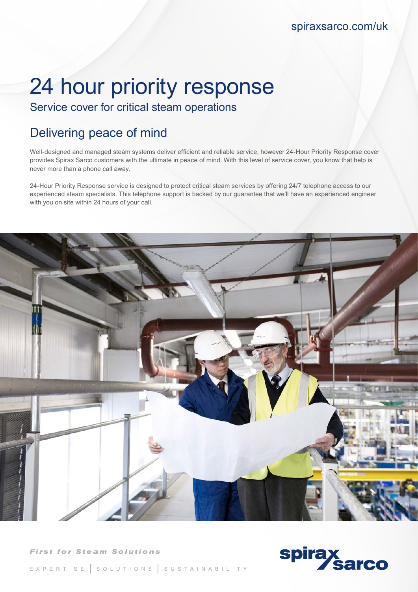spiraxsarco.com/uk

# 24 hour priority response

Service cover for critical steam operations

## Delivering peace of mind

Well-designed and managed steam systems deliver efficient and reliable service, however 24-Hour Priority Response cover provides Spirax Sarco customers with the ultimate in peace of mind. With this level of service cover, you know that help is never more than a phone call away.

24-Hour Priority Response service is designed to protect critical steam services by offering 24/7 telephone access to our experienced steam specialists. This telephone support is backed by our guarantee that we'll have an experienced engineer with you on site within 24 hours of your call.